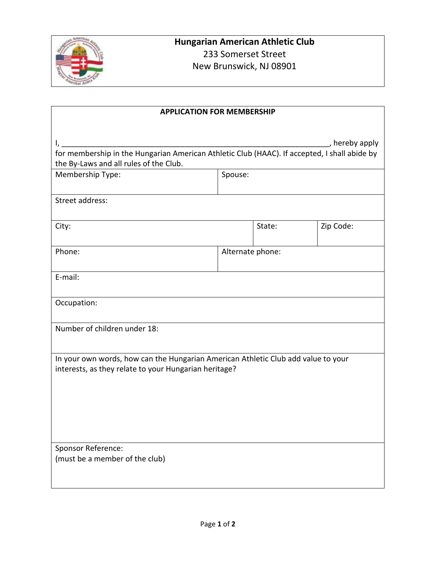

| <b>APPLICATION FOR MEMBERSHIP</b>                                                                                                                              |                  |        |           |  |
|----------------------------------------------------------------------------------------------------------------------------------------------------------------|------------------|--------|-----------|--|
| , hereby apply<br>I,<br>for membership in the Hungarian American Athletic Club (HAAC). If accepted, I shall abide by<br>the By-Laws and all rules of the Club. |                  |        |           |  |
| Membership Type:                                                                                                                                               | Spouse:          |        |           |  |
| Street address:                                                                                                                                                |                  |        |           |  |
| City:                                                                                                                                                          |                  | State: | Zip Code: |  |
| Phone:                                                                                                                                                         | Alternate phone: |        |           |  |
| E-mail:                                                                                                                                                        |                  |        |           |  |
| Occupation:                                                                                                                                                    |                  |        |           |  |
| Number of children under 18:                                                                                                                                   |                  |        |           |  |
| In your own words, how can the Hungarian American Athletic Club add value to your<br>interests, as they relate to your Hungarian heritage?                     |                  |        |           |  |
| Sponsor Reference:<br>(must be a member of the club)                                                                                                           |                  |        |           |  |